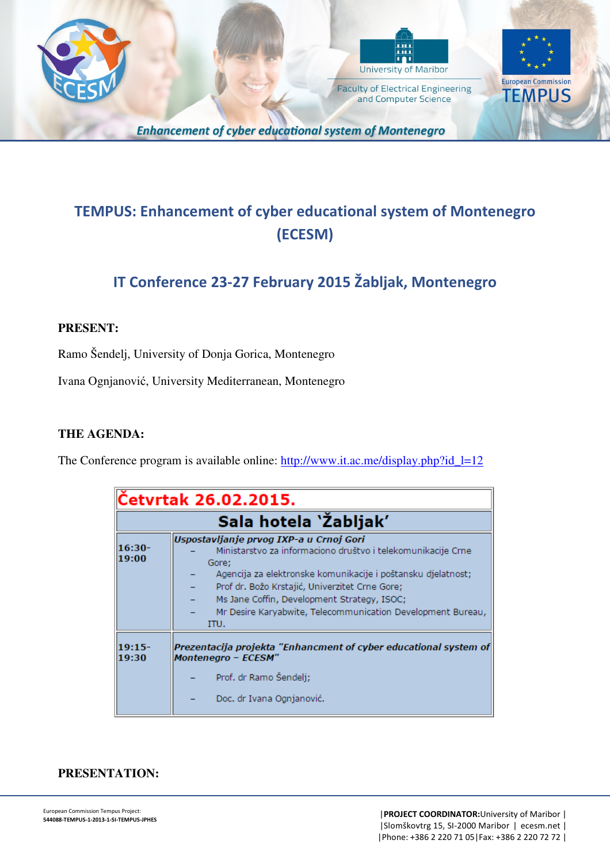



and Computer Science

**European Commission TEMPUS** 

**Enhancement of cyber educational system of Montenegro** 

# **TEMPUS: Enhancement of cyber educational system of Montenegro (ECESM)**

## **IT Conference 23-27 February 2015 Žabljak, Montenegro**

#### **PRESENT:**

Ramo Šendelj, University of Donja Gorica, Montenegro

Ivana Ognjanović, University Mediterranean, Montenegro

#### **THE AGENDA:**

The Conference program is available online: http://www.it.ac.me/display.php?id l=12

| Četvrtak 26.02.2015. |                                                                                                                                                                                                                                                                                                                                                          |
|----------------------|----------------------------------------------------------------------------------------------------------------------------------------------------------------------------------------------------------------------------------------------------------------------------------------------------------------------------------------------------------|
|                      | Sala hotela `Žabljak'                                                                                                                                                                                                                                                                                                                                    |
| $16:30-$<br>19:00    | Uspostavljanje prvog IXP-a u Crnoj Gori<br>Ministarstvo za informaciono društvo i telekomunikacije Crne<br>Gore;<br>Agencija za elektronske komunikacije i poštansku djelatnost;<br>Prof dr. Božo Krstajić, Univerzitet Crne Gore;<br>Ms Jane Coffin, Development Strategy, ISOC;<br>Mr Desire Karyabwite, Telecommunication Development Bureau,<br>ITU. |
| 19:15-<br>19:30      | Prezentacija projekta "Enhancment of cyber educational system of<br><b>Montenegro - ECESM"</b>                                                                                                                                                                                                                                                           |
|                      | Prof. dr Ramo Šendelj;<br>Doc. dr Ivana Ognjanović.                                                                                                                                                                                                                                                                                                      |

#### **PRESENTATION:**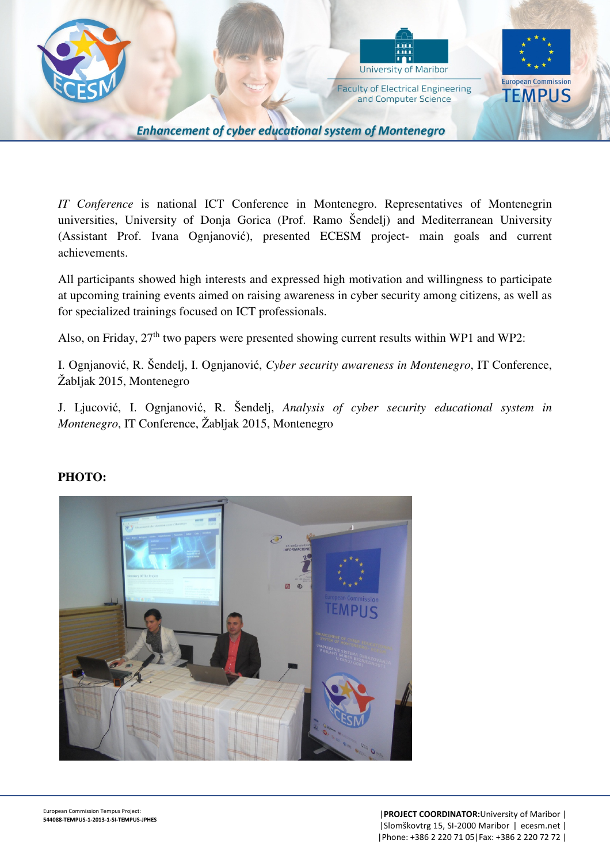

*IT Conference* is national ICT Conference in Montenegro. Representatives of Montenegrin universities, University of Donja Gorica (Prof. Ramo Šendelj) and Mediterranean University (Assistant Prof. Ivana Ognjanović), presented ECESM project- main goals and current achievements.

All participants showed high interests and expressed high motivation and willingness to participate at upcoming training events aimed on raising awareness in cyber security among citizens, as well as for specialized trainings focused on ICT professionals.

Also, on Friday, 27<sup>th</sup> two papers were presented showing current results within WP1 and WP2:

I. Ognjanović, R. Šendelj, I. Ognjanović, *Cyber security awareness in Montenegro*, IT Conference, Žabljak 2015, Montenegro

J. Ljucović, I. Ognjanović, R. Šendelj, *Analysis of cyber security educational system in Montenegro*, IT Conference, Žabljak 2015, Montenegro



### **PHOTO:**